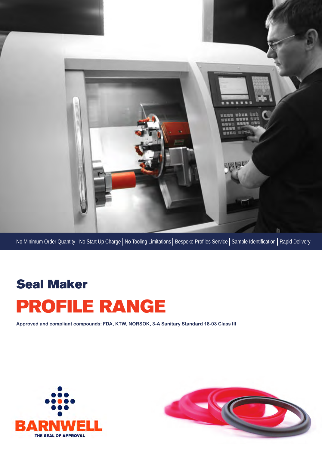

No Minimum Order Quantity | No Start Up Charge | No Tooling Limitations | Bespoke Profiles Service | Sample Identification | Rapid Delivery

# Seal Maker PROFILE RANGE

**Approved and compliant compounds: FDA, KTW, NORSOK, 3-A Sanitary Standard 18-03 Class III**



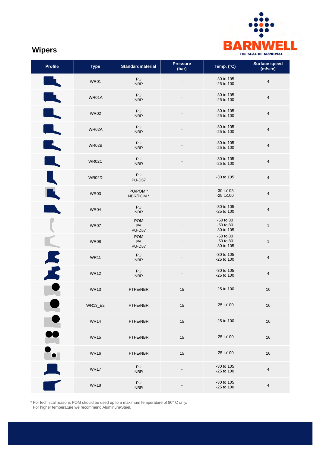

# **Wipers**

| Profile                                                                   | <b>Type</b>    | <b>Standardmaterial</b>           | <b>Pressure</b><br>(bar) | Temp. (°C)                           | <b>Surface speed</b><br>(m/sec) |
|---------------------------------------------------------------------------|----------------|-----------------------------------|--------------------------|--------------------------------------|---------------------------------|
| $\overline{\phantom{a}}$                                                  | <b>WR01</b>    | PU<br><b>NBR</b>                  |                          | -30 to 105<br>-25 to 100             | $\overline{4}$                  |
| II.                                                                       | WR01A          | PU<br><b>NBR</b>                  |                          | -30 to 105<br>-25 to 100             | $\overline{4}$                  |
| $\overline{\phantom{a}}$                                                  | <b>WR02</b>    | PU<br><b>NBR</b>                  |                          | -30 to 105<br>-25 to 100             | $\overline{4}$                  |
| $\blacksquare$                                                            | WR02A          | PU<br><b>NBR</b>                  |                          | -30 to 105<br>-25 to 100             | $\overline{4}$                  |
| K,                                                                        | WR02B          | PU<br><b>NBR</b>                  |                          | -30 to 105<br>-25 to 100             | $\overline{4}$                  |
|                                                                           | <b>WR02C</b>   | PU<br><b>NBR</b>                  |                          | -30 to 105<br>-25 to 100             | $\overline{4}$                  |
|                                                                           | WR02D          | PU<br><b>PU-D57</b>               |                          | -30 to 105                           | $\overline{4}$                  |
|                                                                           | <b>WR03</b>    | PU/POM*<br>NBR/POM *              |                          | $-30$ to $105$<br>$-25$ to $100$     | $\overline{4}$                  |
|                                                                           | <b>WR04</b>    | PU<br><b>NBR</b>                  |                          | -30 to 105<br>-25 to 100             | $\overline{4}$                  |
|                                                                           | WR07           | <b>POM</b><br>PA<br><b>PU-D57</b> |                          | -50 to 80<br>-50 to 80<br>-30 to 105 | $\mathbf{1}$                    |
|                                                                           | <b>WR08</b>    | <b>POM</b><br>PA<br><b>PU-D57</b> |                          | -50 to 80<br>-50 to 80<br>-30 to 105 | $\mathbf{1}$                    |
|                                                                           | <b>WR11</b>    | PU<br><b>NBR</b>                  |                          | -30 to 105<br>-25 to 100             | $\overline{4}$                  |
| $\overline{X}$                                                            | <b>WR12</b>    | PU<br><b>NBR</b>                  |                          | -30 to 105<br>-25 to 100             | $\overline{4}$                  |
|                                                                           | <b>WR13</b>    | PTFE/NBR                          | 15                       | -25 to 100                           | $10$                            |
|                                                                           | <b>WR13_E2</b> | PTFE/NBR                          | 15                       | $-25$ to $100$                       | $10$                            |
|                                                                           | <b>WR14</b>    | PTFE/NBR                          | 15                       | -25 to 100                           | $10$                            |
|                                                                           | <b>WR15</b>    | PTFE/NBR                          | 15                       | $-25$ to $100$                       | 10                              |
|                                                                           | <b>WR16</b>    | PTFE/NBR                          | 15                       | $-25$ to $100$                       | 10                              |
| $\begin{array}{c}\n\bullet \\ \bullet \\ \bullet \\ \bullet\n\end{array}$ | <b>WR17</b>    | PU<br><b>NBR</b>                  |                          | -30 to 105<br>-25 to 100             | $\overline{4}$                  |
|                                                                           | <b>WR18</b>    | PU<br><b>NBR</b>                  |                          | -30 to 105<br>-25 to 100             | 4                               |

\* For technical reasons POM should be used up to a maximum temperature of 80° C only. For higher temperature we recommend Aluminum/Steel.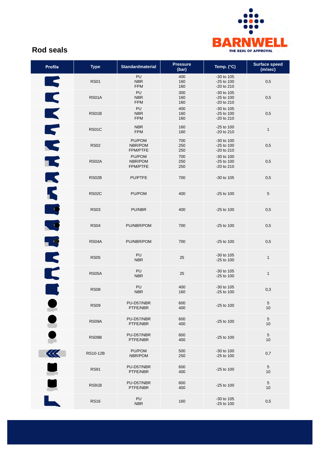

## **Rod seals**

| <b>Profile</b>           | <b>Type</b>  | <b>Standardmaterial</b>              | <b>Pressure</b><br>(bar) | Temp. (°C)                             | <b>Surface speed</b><br>(m/sec) |
|--------------------------|--------------|--------------------------------------|--------------------------|----------------------------------------|---------------------------------|
| $\blacktriangleright$    | <b>RS01</b>  | PU<br><b>NBR</b><br><b>FPM</b>       | 400<br>160<br>160        | -30 to 105<br>-25 to 100<br>-20 to 210 | 0,5                             |
| K                        | <b>RS01A</b> | PU<br><b>NBR</b><br><b>FPM</b>       | 300<br>160<br>160        | -30 to 105<br>-25 to 100<br>-20 to 210 | 0,5                             |
| $\blacktriangleright$    | RS01B        | PU<br><b>NBR</b><br><b>FPM</b>       | 400<br>160<br>160        | -30 to 105<br>-25 to 100<br>-20 to 210 | 0,5                             |
| $\blacktriangledown$     | <b>RS01C</b> | <b>NBR</b><br><b>FPM</b>             | 160<br>160               | -25 to 100<br>-20 to 210               | $\mathbf{1}$                    |
| $\blacktriangledown$     | <b>RS02</b>  | PU/POM<br>NBR/POM<br>FPM/PTFE        | 700<br>250<br>250        | -30 to 100<br>-25 to 100<br>-20 to 210 | 0,5                             |
| К                        | <b>RS02A</b> | PU/POM<br>NBR/POM<br><b>FPM/PTFE</b> | 700<br>250<br>250        | -30 to 100<br>-25 to 100<br>-20 to 210 | 0,5                             |
| K                        | RS02B        | PU/PTFE                              | 700                      | -30 to 105                             | 0,5                             |
| К                        | <b>RS02C</b> | PU/POM                               | 400                      | -25 to 100                             | 5                               |
| - 9                      | <b>RS03</b>  | PU/NBR                               | 400                      | -25 to 100                             | 0,5                             |
| $\overline{\phantom{a}}$ | <b>RS04</b>  | PU/NBR/POM                           | 700                      | -25 to 100                             | 0,5                             |
| 59                       | RS04A        | PU/NBR/POM                           | 700                      | -25 to 100                             | 0,5                             |
| K                        | <b>RS05</b>  | PU<br><b>NBR</b>                     | 25                       | -30 to 105<br>-25 to 100               | $\mathbf{1}$                    |
| K                        | RS05A        | PU<br><b>NBR</b>                     | 25                       | -30 to 105<br>-25 to 100               | $\mathbf{1}$                    |
|                          | <b>RS08</b>  | PU<br><b>NBR</b>                     | 400<br>160               | -30 to 105<br>-25 to 100               | 0,3                             |
|                          | <b>RS09</b>  | PU-D57/NBR<br>PTFE/NBR               | 600<br>400               | -25 to 100                             | $\overline{5}$<br>10            |
| TO O                     | RS09A        | PU-D57/NBR<br>PTFE/NBR               | 600<br>400               | -25 to 100                             | 5<br>10                         |
|                          | RS09B        | PU-D57/NBR<br>PTFE/NBR               | 600<br>400               | -25 to 100                             | 5<br>10                         |
| 巛                        | RS10-12B     | PU/POM<br>NBR/POM                    | 500<br>250               | -30 to 100<br>-25 to 100               | 0,7                             |
|                          | <b>RS91</b>  | PU-D57/NBR<br>PTFE/NBR               | 600<br>400               | -25 to 100                             | $\overline{5}$<br>10            |
| $\mathbf{L}$             | RS91B        | PU-D57/NBR<br>PTFE/NBR               | 600<br>400               | $-25$ to 100                           | 5<br>10                         |
|                          | <b>RS16</b>  | PU<br><b>NBR</b>                     | 160                      | -30 to 105<br>-25 to 100               | 0,5                             |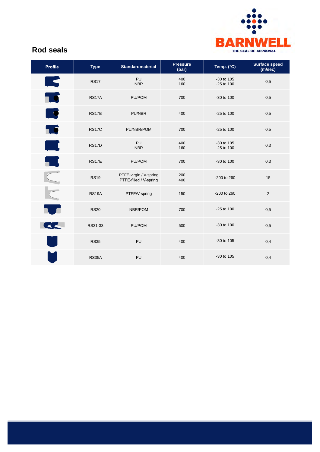

## **Rod seals**

| <b>Profile</b>           | <b>Type</b>  | <b>Standardmaterial</b>                          | <b>Pressure</b><br>(bar) | Temp. (°C)               | <b>Surface speed</b><br>(m/sec) |
|--------------------------|--------------|--------------------------------------------------|--------------------------|--------------------------|---------------------------------|
| <b>IR</b>                | <b>RS17</b>  | PU<br><b>NBR</b>                                 | 400<br>160               | -30 to 105<br>-25 to 100 | 0,5                             |
| 10                       | <b>RS17A</b> | PU/POM                                           | 700                      | -30 to 100               | 0,5                             |
| $\overline{\phantom{a}}$ | <b>RS17B</b> | PU/NBR                                           | 400                      | $-25$ to 100             | 0,5                             |
| 10                       | <b>RS17C</b> | PU/NBR/POM                                       | 700                      | $-25$ to 100             | 0,5                             |
| أأسب                     | <b>RS17D</b> | PU<br><b>NBR</b>                                 | 400<br>160               | -30 to 105<br>-25 to 100 | 0,3                             |
| K                        | <b>RS17E</b> | PU/POM                                           | 700                      | -30 to 100               | 0,3                             |
|                          | <b>RS19</b>  | PTFE-virgin / V-spring<br>PTFE-filled / V-spring | 200<br>400               | -200 to 260              | 15                              |
| NNI                      | <b>RS19A</b> | PTFE/V-spring                                    | 150                      | -200 to 260              | $\overline{2}$                  |
| T                        | <b>RS20</b>  | NBR/POM                                          | 700                      | $-25$ to 100             | 0,5                             |
| <u>the set</u>           | RS31-33      | PU/POM                                           | 500                      | -30 to 100               | 0,5                             |
|                          | <b>RS35</b>  | PU                                               | 400                      | -30 to 105               | 0,4                             |
|                          | <b>RS35A</b> | PU                                               | 400                      | -30 to 105               | 0,4                             |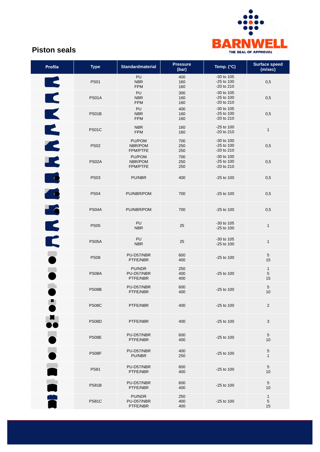

## **Piston seals**

| <b>Profile</b> | <b>Type</b>  | <b>Standardmaterial</b>              | <b>Pressure</b><br>(bar) | Temp. (°C)                               | <b>Surface speed</b><br>(m/sec) |
|----------------|--------------|--------------------------------------|--------------------------|------------------------------------------|---------------------------------|
| K              | <b>PS01</b>  | PU<br><b>NBR</b><br><b>FPM</b>       | 400<br>160<br>160        | -30 to 105<br>$-25$ to 100<br>-20 to 210 | 0,5                             |
| K              | <b>PS01A</b> | PU<br><b>NBR</b><br><b>FPM</b>       | 300<br>160<br>160        | -30 to 105<br>-25 to 100<br>-20 to 210   | 0,5                             |
| $\blacksquare$ | PS01B        | PU<br><b>NBR</b><br><b>FPM</b>       | 400<br>160<br>160        | -30 to 105<br>-25 to 100<br>-20 to 210   | 0,5                             |
|                | PS01C        | <b>NBR</b><br><b>FPM</b>             | 160<br>160               | $-25$ to 100<br>-20 to 210               | $\mathbf{1}$                    |
| E              | <b>PS02</b>  | PU/POM<br>NBR/POM<br><b>FPM/PTFE</b> | 700<br>250<br>250        | -30 to 100<br>$-25$ to 100<br>-20 to 210 | 0,5                             |
| $\blacksquare$ | PS02A        | PU/POM<br>NBR/POM<br><b>FPM/PTFE</b> | 700<br>250<br>250        | -30 to 100<br>-25 to 100<br>-20 to 210   | 0,5                             |
| E              | <b>PS03</b>  | PU/NBR                               | 400                      | $-25$ to 100                             | 0,5                             |
| $\triangle$    | <b>PS04</b>  | PU/NBR/POM                           | 700                      | $-25$ to 100                             | 0,5                             |
| <b>EC</b>      | PS04A        | PU/NBR/POM                           | 700                      | $-25$ to 100                             | 0,5                             |
| K              | <b>PS05</b>  | PU<br><b>NBR</b>                     | 25                       | -30 to 105<br>-25 to 100                 | $\mathbf{1}$                    |
| K              | <b>PS05A</b> | PU<br><b>NBR</b>                     | 25                       | -30 to 105<br>-25 to 100                 | $\mathbf{1}$                    |
|                | <b>PS08</b>  | PU-D57/NBR<br>PTFE/NBR               | 600<br>400               | $-25$ to 100                             | 5<br>15                         |
| Ľ              | PS08A        | PU/NDR<br>PU-D57/NBR<br>PTFE/NBR     | 250<br>400<br>400        | -25 to 100                               | $\mathbf{1}$<br>5<br>15         |
|                | PS08B        | PU-D57/NBR<br>PTFE/NBR               | 600<br>400               | $-25$ to 100                             | $\,$ 5 $\,$<br>10               |
| ж              | <b>PS08C</b> | PTFE/NBR                             | 400                      | $-25$ to 100                             | $\overline{2}$                  |
|                | <b>PS08D</b> | PTFE/NBR                             | 400                      | $-25$ to 100                             | $\mathbf{3}$                    |
|                | PS08E        | PU-D57/NBR<br>PTFE/NBR               | 600<br>400               | $-25$ to 100                             | 5<br>10                         |
|                | PS08F        | PU-D57/NBR<br>PU/NBR                 | 400<br>250               | $-25$ to 100                             | $\,$ 5 $\,$<br>1                |
|                | <b>PS81</b>  | PU-D57/NBR<br>PTFE/NBR               | 600<br>400               | $-25$ to 100                             | 5<br>10                         |
|                | PS81B        | PU-D57/NBR<br>PTFE/NBR               | 600<br>400               | $-25$ to 100                             | 5<br>10                         |
|                | <b>PS81C</b> | PU/NDR<br>PU-D57/NBR<br>PTFE/NBR     | 250<br>400<br>400        | $-25$ to 100                             | $\mathbf{1}$<br>5<br>15         |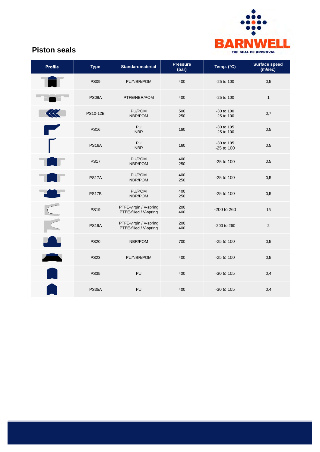

## **Piston seals**

| <b>Profile</b>                                                                                                        | <b>Type</b>  | <b>Standardmaterial</b>                          | <b>Pressure</b><br>(bar) | Temp. (°C)                 | <b>Surface speed</b><br>(m/sec) |
|-----------------------------------------------------------------------------------------------------------------------|--------------|--------------------------------------------------|--------------------------|----------------------------|---------------------------------|
|                                                                                                                       | <b>PS09</b>  | PU/NBR/POM                                       | 400                      | -25 to 100                 | 0,5                             |
|                                                                                                                       | PS09A        | PTFE/NBR/POM                                     | 400                      | $-25$ to $100$             | $\mathbf{1}$                    |
|                                                                                                                       | PS10-12B     | PU/POM<br>NBR/POM                                | 500<br>250               | -30 to 100<br>-25 to 100   | 0,7                             |
| <b>The Contract of the Contract of the Contract of the Contract of the Contract of the Contract of The Contract o</b> | <b>PS16</b>  | <b>PU</b><br><b>NBR</b>                          | 160                      | -30 to 105<br>-25 to 100   | 0,5                             |
|                                                                                                                       | <b>PS16A</b> | PU<br><b>NBR</b>                                 | 160                      | -30 to 105<br>$-25$ to 100 | 0,5                             |
|                                                                                                                       | <b>PS17</b>  | PU/POM<br>NBR/POM                                | 400<br>250               | $-25$ to 100               | 0,5                             |
|                                                                                                                       | <b>PS17A</b> | PU/POM<br>NBR/POM                                | 400<br>250               | $-25$ to 100               | 0,5                             |
| . .                                                                                                                   | PS17B        | PU/POM<br>NBR/POM                                | 400<br>250               | $-25$ to 100               | 0,5                             |
|                                                                                                                       | <b>PS19</b>  | PTFE-virgin / V-spring<br>PTFE-filled / V-spring | 200<br>400               | -200 to 260                | 15                              |
|                                                                                                                       | <b>PS19A</b> | PTFE-virgin / V-spring<br>PTFE-filled / V-spring | 200<br>400               | -200 to 260                | $\overline{2}$                  |
| $\blacksquare$                                                                                                        | <b>PS20</b>  | NBR/POM                                          | 700                      | $-25$ to 100               | 0,5                             |
| <b>All</b>                                                                                                            | <b>PS23</b>  | PU/NBR/POM                                       | 400                      | $-25$ to 100               | 0,5                             |
|                                                                                                                       | <b>PS35</b>  | PU                                               | 400                      | -30 to 105                 | 0,4                             |
|                                                                                                                       | <b>PS35A</b> | PU                                               | 400                      | $-30$ to $105$             | 0,4                             |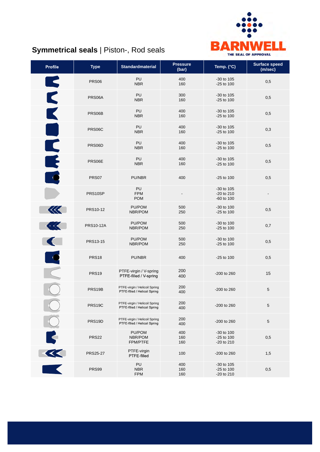

# **Symmetrical seals** | Piston-, Rod seals

| <b>Profile</b>           | <b>Type</b>       | <b>Standardmaterial</b>                                        | <b>Pressure</b><br>(bar) | Temp. (°C)                                 | <b>Surface speed</b><br>(m/sec) |
|--------------------------|-------------------|----------------------------------------------------------------|--------------------------|--------------------------------------------|---------------------------------|
|                          | <b>PRS06</b>      | PU<br><b>NBR</b>                                               | 400<br>160               | -30 to 105<br>$-25$ to 100                 | 0,5                             |
| E                        | PRS06A            | PU<br><b>NBR</b>                                               | 300<br>160               | -30 to 105<br>$-25$ to 100                 | 0,5                             |
| K                        | PRS06B            | PU<br><b>NBR</b>                                               | 400<br>160               | -30 to 105<br>$-25$ to 100                 | 0,5                             |
| a<br>M                   | PRS06C            | <b>PU</b><br><b>NBR</b>                                        | 400<br>160               | $-30$ to $105$<br>$-25$ to 100             | 0,3                             |
|                          | PRS06D            | PU<br><b>NBR</b>                                               | 400<br>160               | -30 to 105<br>$-25$ to 100                 | 0,5                             |
| E                        | PRS06E            | PU<br><b>NBR</b>                                               | 400<br>160               | $-30$ to $105$<br>$-25$ to 100             | 0,5                             |
|                          | PRS07             | PU/NBR                                                         | 400                      | $-25$ to 100                               | 0,5                             |
|                          | PRS10SP           | PU<br><b>FPM</b><br><b>POM</b>                                 |                          | -30 to 105<br>$-20$ to $210$<br>-60 to 100 |                                 |
| 保                        | PRS10-12          | PU/POM<br>NBR/POM                                              | 500<br>250               | -30 to 100<br>$-25$ to 100                 | 0,5                             |
| $\overline{\mathcal{A}}$ | <b>PRS10-12A</b>  | PU/POM<br>NBR/POM                                              | 500<br>250               | -30 to 100<br>$-25$ to 100                 | 0,7                             |
|                          | PRS13-15          | PU/POM<br>NBR/POM                                              | 500<br>250               | $-30$ to $100$<br>$-25$ to 100             | 0,5                             |
|                          | <b>PRS18</b>      | PU/NBR                                                         | 400                      | -25 to 100                                 | 0,5                             |
|                          | PRS <sub>19</sub> | PTFE-virgin / V-spring<br>PTFE-filled / V-spring               | 200<br>400               | -200 to 260                                | 15                              |
|                          | PRS19B            | PTFE-virgin / Helicoil Spring<br>PTFE-filled / Helicoil Spring | 200<br>400               | -200 to 260                                | 5                               |
|                          | PRS19C            | PTFE-virgin / Helicoil Spring<br>PTFE-filled / Helicoil Spring | 200<br>400               | -200 to 260                                | 5                               |
|                          | PRS19D            | PTFE-virgin / Helicoil Spring<br>PTFE-filled / Helicoil Spring | 200<br>400               | -200 to 260                                | $\sqrt{5}$                      |
|                          | <b>PRS22</b>      | PU/POM<br>NBR/POM<br>FPM/PTFE                                  | 400<br>160<br>160        | -30 to 100<br>-25 to 100<br>-20 to 210     | 0,5                             |
| R                        | <b>PRS25-27</b>   | PTFE-virgin<br>PTFE-filled                                     | 100                      | -200 to 260                                | 1,5                             |
|                          | PRS99             | PU<br><b>NBR</b><br><b>FPM</b>                                 | 400<br>160<br>160        | -30 to 105<br>$-25$ to 100<br>-20 to 210   | 0,5                             |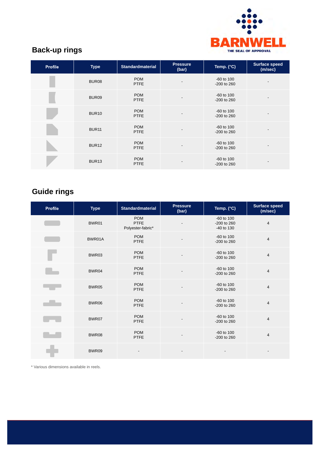

# **Back-up rings**

| <b>Profile</b> | <b>Type</b>       | <b>Standardmaterial</b>   | <b>Pressure</b><br>(bar) | Temp. (°C)                        | <b>Surface speed</b><br>(m/sec) |
|----------------|-------------------|---------------------------|--------------------------|-----------------------------------|---------------------------------|
|                | BUR08             | <b>POM</b><br><b>PTFE</b> |                          | $-60$ to 100<br>$-200$ to $260$   |                                 |
|                | BUR09             | <b>POM</b><br><b>PTFE</b> |                          | $-60$ to $100$<br>$-200$ to $260$ |                                 |
|                | <b>BUR10</b>      | <b>POM</b><br><b>PTFE</b> |                          | $-60$ to $100$<br>$-200$ to $260$ |                                 |
|                | <b>BUR11</b>      | <b>POM</b><br><b>PTFE</b> |                          | $-60$ to $100$<br>$-200$ to $260$ |                                 |
|                | BUR <sub>12</sub> | <b>POM</b><br><b>PTFE</b> |                          | $-60$ to $100$<br>$-200$ to $260$ |                                 |
|                | BUR <sub>13</sub> | <b>POM</b><br><b>PTFE</b> |                          | $-60$ to $100$<br>$-200$ to $260$ |                                 |

# **Guide rings**

| <b>Profile</b> | <b>Type</b> | <b>Standardmaterial</b>                        | <b>Pressure</b><br>(bar) | Temp. (°C)                              | <b>Surface speed</b><br>(m/sec) |
|----------------|-------------|------------------------------------------------|--------------------------|-----------------------------------------|---------------------------------|
|                | BWR01       | <b>POM</b><br><b>PTFE</b><br>Polyester-fabric* |                          | -60 to 100<br>-200 to 260<br>-40 to 130 | $\overline{4}$                  |
|                | BWR01A      | <b>POM</b><br><b>PTFE</b>                      |                          | -60 to 100<br>-200 to 260               | $\overline{4}$                  |
|                | BWR03       | <b>POM</b><br><b>PTFE</b>                      |                          | $-60$ to $100$<br>-200 to 260           | $\overline{4}$                  |
|                | BWR04       | <b>POM</b><br><b>PTFE</b>                      |                          | $-60$ to $100$<br>-200 to 260           | $\overline{4}$                  |
|                | BWR05       | <b>POM</b><br>PTFE                             |                          | $-60$ to $100$<br>-200 to 260           | $\overline{4}$                  |
|                | BWR06       | <b>POM</b><br><b>PTFE</b>                      |                          | -60 to 100<br>-200 to 260               | $\overline{4}$                  |
|                | BWR07       | <b>POM</b><br><b>PTFE</b>                      |                          | -60 to 100<br>-200 to 260               | $\overline{4}$                  |
|                | BWR08       | <b>POM</b><br><b>PTFE</b>                      |                          | $-60$ to $100$<br>-200 to 260           | $\overline{4}$                  |
|                | BWR09       |                                                |                          |                                         |                                 |

\* Various dimensions available in reels.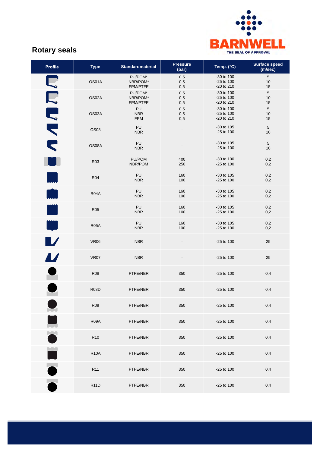

## **Rotary seals**

| <b>Profile</b>                       | <b>Type</b>      | <b>Standardmaterial</b>         | <b>Pressure</b><br>(bar) | Temp. (°C)                                   | <b>Surface speed</b><br>(m/sec) |
|--------------------------------------|------------------|---------------------------------|--------------------------|----------------------------------------------|---------------------------------|
|                                      | OS01A            | PU/POM*<br>NBR/POM*<br>FPM/PTFE | 0,5<br>0,5<br>0,5        | -30 to 100<br>$-25$ to 100<br>$-20$ to $210$ | $\,$ 5 $\,$<br>10<br>15         |
|                                      | OS02A            | PU/POM*<br>NBR/POM*<br>FPM/PTFE | 0,5<br>0,5<br>0,5        | -30 to 100<br>$-25$ to 100<br>$-20$ to $210$ | $5\phantom{.0}$<br>10<br>15     |
| MAND                                 | OS03A            | PU<br><b>NBR</b><br><b>FPM</b>  | 0,5<br>0,5<br>0,5        | -30 to 100<br>$-25$ to 100<br>-20 to 210     | $5\phantom{.0}$<br>10<br>15     |
|                                      | OS <sub>08</sub> | PU<br><b>NBR</b>                | $\overline{\phantom{0}}$ | -30 to 105<br>-25 to 100                     | $\,$ 5 $\,$<br>10               |
|                                      | OS08A            | PU<br><b>NBR</b>                |                          | $-30$ to $105$<br>-25 to 100                 | $5\phantom{.0}$<br>10           |
|                                      | R03              | PU/POM<br>NBR/POM               | 400<br>250               | -30 to 100<br>-25 to 100                     | 0,2<br>0,2                      |
|                                      | <b>R04</b>       | PU<br><b>NBR</b>                | 160<br>100               | $-30$ to $105$<br>-25 to 100                 | 0,2<br>0,2                      |
|                                      | <b>R04A</b>      | PU<br><b>NBR</b>                | 160<br>100               | -30 to 105<br>$-25$ to 100                   | 0,2<br>0,2                      |
|                                      | <b>R05</b>       | <b>PU</b><br><b>NBR</b>         | 160<br>100               | -30 to 105<br>$-25$ to 100                   | 0,2<br>0,2                      |
| i<br>Li                              | <b>R05A</b>      | PU<br><b>NBR</b>                | 160<br>100               | -30 to 105<br>-25 to 100                     | 0,2<br>0,2                      |
| $\blacksquare$                       | <b>VR06</b>      | <b>NBR</b>                      |                          | -25 to 100                                   | 25                              |
| $\boldsymbol{\mu}$                   | VR07             | <b>NBR</b>                      |                          | $-25$ to 100                                 | 25                              |
| $\bullet$                            | <b>R08</b>       | PTFE/NBR                        | 350                      | -25 to 100                                   | 0,4                             |
|                                      | <b>R08D</b>      | PTFE/NBR                        | 350                      | $-25$ to 100                                 | 0,4                             |
|                                      | R <sub>09</sub>  | PTFE/NBR                        | 350                      | $-25$ to 100                                 | 0,4                             |
| <b>Service Service</b><br>$\sqrt{2}$ | <b>R09A</b>      | PTFE/NBR                        | 350                      | -25 to 100                                   | 0,4                             |
| <b>MAX</b>                           | R <sub>10</sub>  | PTFE/NBR                        | 350                      | -25 to 100                                   | 0,4                             |
| <u>Mari</u>                          | <b>R10A</b>      | PTFE/NBR                        | 350                      | -25 to 100                                   | 0,4                             |
| $\bullet$                            | R <sub>11</sub>  | PTFE/NBR                        | 350                      | -25 to 100                                   | 0,4                             |
|                                      | <b>R11D</b>      | PTFE/NBR                        | 350                      | -25 to 100                                   | 0,4                             |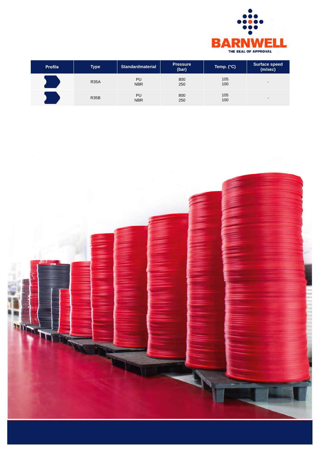

| <b>Profile</b> | <b>Type</b> | <b>Standardmaterial</b> | <b>Pressure</b><br>(bar) | Temp. (°C) | Surface speed<br>(m/sec) |
|----------------|-------------|-------------------------|--------------------------|------------|--------------------------|
|                | <b>R35A</b> | PU<br><b>NBR</b>        | 800<br>250               | 105<br>100 | $\overline{\phantom{0}}$ |
|                | <b>R35B</b> | PU<br><b>NBR</b>        | 800<br>250               | 105<br>100 | $\overline{\phantom{0}}$ |

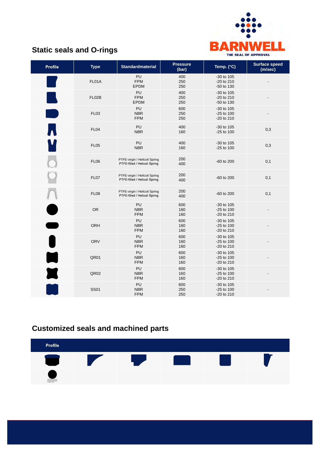

## **Static seals and O-rings**

| <b>Profile</b>         | <b>Type</b>      | <b>Standardmaterial</b>                                        | <b>Pressure</b><br>(bar) | Temp. (°C)                               | <b>Surface speed</b><br>(m/sec) |
|------------------------|------------------|----------------------------------------------------------------|--------------------------|------------------------------------------|---------------------------------|
|                        | FL01A            | PU<br><b>FPM</b><br><b>EPDM</b>                                | 400<br>250<br>250        | -30 to 105<br>-20 to 210<br>-50 to 130   |                                 |
|                        | FL02B            | PU<br><b>FPM</b><br><b>EPDM</b>                                | 400<br>250<br>250        | -30 to 105<br>-20 to 210<br>-50 to 130   |                                 |
| <b>Service Service</b> | <b>FL03</b>      | PU<br><b>NBR</b><br><b>FPM</b>                                 | 600<br>250<br>250        | -30 to 105<br>-25 to 100<br>-20 to 210   |                                 |
| $\bullet$              | FL <sub>04</sub> | PU<br><b>NBR</b>                                               | 400<br>160               | -30 to 105<br>-25 to 100                 | 0,3                             |
|                        | <b>FL05</b>      | PU<br><b>NBR</b>                                               | 400<br>160               | -30 to 105<br>-25 to 100                 | 0,3                             |
|                        | <b>FL06</b>      | PTFE-virgin / Helicoil Spring<br>PTFE-filled / Helicoil Spring | 200<br>400               | -60 to 200                               | 0,1                             |
|                        | FL07             | PTFE-virgin / Helicoil Spring<br>PTFE-filled / Helicoil Spring | 200<br>400               | -60 to 200                               | 0,1                             |
|                        | <b>FL08</b>      | PTFE-virgin / Helicoil Spring<br>PTFE-filled / Helicoil Spring | 200<br>400               | -60 to 200                               | 0,1                             |
|                        | <b>OR</b>        | <b>PU</b><br><b>NBR</b><br><b>FPM</b>                          | 600<br>160<br>160        | -30 to 105<br>$-25$ to 100<br>-20 to 210 |                                 |
|                        | ORH              | PU<br><b>NBR</b><br><b>FPM</b>                                 | 600<br>160<br>160        | -30 to 105<br>$-25$ to 100<br>-20 to 210 |                                 |
|                        | <b>ORV</b>       | PU<br><b>NBR</b><br><b>FPM</b>                                 | 600<br>160<br>160        | -30 to 105<br>-25 to 100<br>-20 to 210   |                                 |
|                        | QR01             | PU<br><b>NBR</b><br><b>FPM</b>                                 | 600<br>160<br>160        | -30 to 105<br>-25 to 100<br>-20 to 210   |                                 |
|                        | QR02             | PU<br><b>NBR</b><br><b>FPM</b>                                 | 600<br>160<br>160        | -30 to 105<br>$-25$ to 100<br>-20 to 210 |                                 |
|                        | <b>SS01</b>      | PU<br><b>NBR</b><br><b>FPM</b>                                 | 600<br>250<br>250        | -30 to 105<br>$-25$ to 100<br>-20 to 210 |                                 |

# **Customized seals and machined parts**

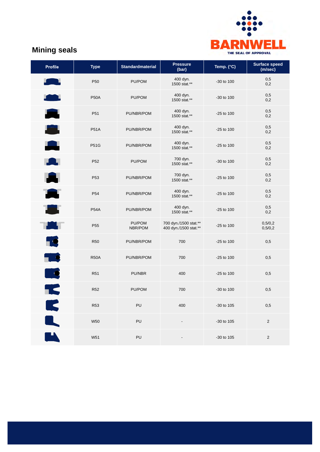

## **Mining seals**

| <b>Profile</b>                                                                                                                                                                                                                 | <b>Type</b>     | <b>Standardmaterial</b> | <b>Pressure</b><br>(bar)                       | Temp. (°C)     | <b>Surface speed</b><br>(m/sec) |
|--------------------------------------------------------------------------------------------------------------------------------------------------------------------------------------------------------------------------------|-----------------|-------------------------|------------------------------------------------|----------------|---------------------------------|
| <b>Service Service</b>                                                                                                                                                                                                         | P <sub>50</sub> | PU/POM                  | 400 dyn.<br>1500 stat.**                       | $-30$ to $100$ | 0,5<br>0,2                      |
| $\bullet$                                                                                                                                                                                                                      | <b>P50A</b>     | PU/POM                  | 400 dyn.<br>1500 stat.**                       | $-30$ to $100$ | 0,5<br>0,2                      |
| А                                                                                                                                                                                                                              | P <sub>51</sub> | PU/NBR/POM              | 400 dyn.<br>1500 stat.**                       | $-25$ to 100   | 0,5<br>0,2                      |
| <b>A</b>                                                                                                                                                                                                                       | <b>P51A</b>     | PU/NBR/POM              | 400 dyn.<br>1500 stat.**                       | -25 to 100     | 0,5<br>0,2                      |
| A                                                                                                                                                                                                                              | <b>P51G</b>     | PU/NBR/POM              | 400 dyn.<br>1500 stat.**                       | -25 to 100     | 0,5<br>0,2                      |
| <u>rang pa</u>                                                                                                                                                                                                                 | P <sub>52</sub> | PU/POM                  | 700 dyn.<br>1500 stat.**                       | -30 to 100     | 0,5<br>0,2                      |
| A                                                                                                                                                                                                                              | P <sub>53</sub> | PU/NBR/POM              | 700 dyn.<br>1500 stat.**                       | -25 to 100     | 0,5<br>0,2                      |
| A                                                                                                                                                                                                                              | P <sub>54</sub> | PU/NBR/POM              | 400 dyn.<br>1500 stat.**                       | $-25$ to 100   | 0,5<br>0,2                      |
| The Second Second Second Second Second Second Second Second Second Second Second Second Second Second Second Second Second Second Second Second Second Second Second Second Second Second Second Second Second Second Second S | <b>P54A</b>     | PU/NBR/POM              | 400 dyn.<br>1500 stat.**                       | -25 to 100     | 0,5<br>0,2                      |
| H.                                                                                                                                                                                                                             | P <sub>55</sub> | PU/POM<br>NBR/POM       | 700 dyn./1500 stat.**<br>400 dyn./1500 stat.** | $-25$ to 100   | 0,5/0,2<br>0,5/0,2              |
| 19                                                                                                                                                                                                                             | <b>R50</b>      | PU/NBR/POM              | 700                                            | -25 to 100     | 0,5                             |
| <b>TES</b>                                                                                                                                                                                                                     | <b>R50A</b>     | PU/NBR/POM              | 700                                            | -25 to 100     | 0,5                             |
| Lo                                                                                                                                                                                                                             | R <sub>51</sub> | PU/NBR                  | 400                                            | $-25$ to $100$ | 0,5                             |
| Ł                                                                                                                                                                                                                              | <b>R52</b>      | PU/POM                  | 700                                            | $-30$ to $100$ | 0,5                             |
|                                                                                                                                                                                                                                | <b>R53</b>      | PU                      | 400                                            | -30 to 105     | 0,5                             |
| K                                                                                                                                                                                                                              | <b>W50</b>      | PU                      |                                                | -30 to 105     | $\sqrt{2}$                      |
| $\blacksquare$                                                                                                                                                                                                                 | W51             | PU                      |                                                | -30 to 105     | $\sqrt{2}$                      |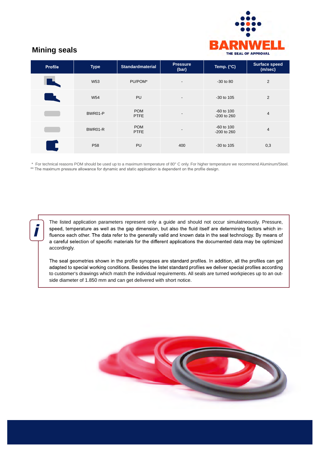

## **Mining seals**

| <b>Profile</b>                               | <b>Type</b>     | <b>Standardmaterial</b>   | <b>Pressure</b><br>(bar) | Temp. (°C)                        | <b>Surface speed</b><br>(m/sec) |
|----------------------------------------------|-----------------|---------------------------|--------------------------|-----------------------------------|---------------------------------|
|                                              | W <sub>53</sub> | PU/POM*                   | $\overline{\phantom{a}}$ | $-30$ to $80$                     | 2                               |
| a sa salah sahiji désa di kacamatan Sulawesi | W54             | PU                        | $\overline{\phantom{a}}$ | $-30$ to $105$                    | 2                               |
|                                              | BWR01-P         | <b>POM</b><br><b>PTFE</b> | $\overline{\phantom{a}}$ | $-60$ to $100$<br>$-200$ to $260$ | 4                               |
|                                              | BWR01-R         | <b>POM</b><br><b>PTFE</b> |                          | $-60$ to $100$<br>$-200$ to $260$ | $\overline{4}$                  |
| - C                                          | P <sub>58</sub> | PU                        | 400                      | $-30$ to 105                      | 0,3                             |

\* For technical reasons POM should be used up to a maximum temperature of 80° C only. For higher temperature we recommend Aluminum/Steel.<br>\*\* The maximum pressure allowance for dynamic and static application is dependent on

The listed application parameters represent only a guide and should not occur simulatneously. Pressure, speed, temperature as well as the gap dimension, but also the fluid itself are determining factors which influence each other. The data refer to the generally valid and known data in the seal technology. By means of a careful selection of specific materials for the different applications the documented data may be optimized accordingly.

The seal geometries shown in the profile synopses are standard profiles. In addition, all the profiles can get adapted to special working conditions. Besides the listet standard profiles we deliver special profiles according to customer's drawings which match the individual requirements. All seals are turned workpieces up to an outside diameter of 1.850 mm and can get delivered with short notice.

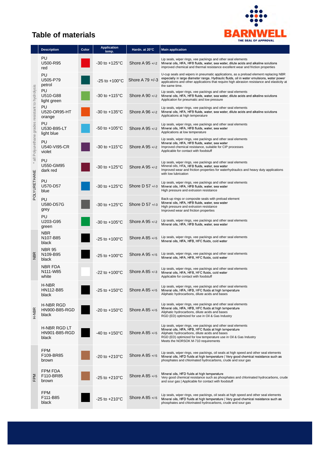

## **Table of materials**

|                                                                                  | <b>Description</b>                                          | Color | <b>Application</b><br>temp. | Hardn. at 20°C    | <b>Main application</b>                                                                                                                                                                                                                                                                            |  |
|----------------------------------------------------------------------------------|-------------------------------------------------------------|-------|-----------------------------|-------------------|----------------------------------------------------------------------------------------------------------------------------------------------------------------------------------------------------------------------------------------------------------------------------------------------------|--|
| all Polyurethane grades resistant to hydrolysis<br>$\ast$<br><b>POLYURETHANE</b> | PU<br>U500-R95<br>red                                       |       | $-30$ to $+125^{\circ}$ C   | Shore A $95 + -2$ | Lip seals, wiper rings, vee packings and other seal elements<br>Mineral oils, HFA, HFB fluids, water, sea water, dilute acids and alkaline solutions<br>improved chemical and thermal resistance excellent wear and friction properties                                                            |  |
|                                                                                  | PU<br>U505-P79<br>petrol                                    |       | $-25$ to $+100^{\circ}$ C   | Shore A $79 + 3$  | U-cup seals and wipers in pneumatic applications, as a preload element replacing NBR<br>especially in large diameter range. Hydraulic fluids, oil in water emulsions, water power<br>applications and other applications that require high abrasion resistance and elasticity at<br>the same time. |  |
|                                                                                  | PU<br>U510-G88<br>light green                               |       | $-30$ to $+115^{\circ}$ C   | Shore A $90 + -2$ | Lip seals, wiper rings, vee packings and other seal elements<br>Mineral oils, HFA, HFB fluids, water, sea water, dilute acids and alkaline solutions<br>Application for pneumatic and low pressure                                                                                                 |  |
|                                                                                  | PU<br>U520-OR95-HT<br>orange                                |       | $-30$ to $+135^{\circ}$ C   | Shore A $96 + -2$ | Lip seals, wiper rings, vee packings and other seal elements<br>Mineral oils, HFA, HFB fluids, water, sea water, dilute acids and alkaline solutions<br>Applications at high temperature                                                                                                           |  |
|                                                                                  | PU<br>U530-B95-LT<br>light blue                             |       | $-50$ to $+105^{\circ}$ C   | Shore A $95 + -2$ | Lip seals, wiper rings, vee packings and other seal elements<br>Mineral oils, HFA, HFB fluids, water, sea water<br>Applications at low temperature                                                                                                                                                 |  |
|                                                                                  | PU<br>U540-VI95-CR<br>violet                                |       | $-30$ to $+115^{\circ}$ C   | Shore A $95 + 2$  | Lip seals, wiper rings, vee packings and other seal elements<br>Mineral oils, HFA, HFB fluids, water, sea water<br>Improved chemical resistance, suitable for CIP processes<br>Applicable for contact with foodstuff                                                                               |  |
|                                                                                  | PU<br>U550-GM95<br>dark red                                 |       | -30 to +125 $^{\circ}$ C    | Shore A $95 + -2$ | Lip seals, wiper rings, vee packings and other seal elements<br>Mineral oils, HFA, HFB fluids, water, sea water<br>Improved wear and friction properties for waterhydraulics and heavy duty applications<br>with low lubrication                                                                   |  |
|                                                                                  | PU<br>U570-D57<br>blue                                      |       | $-30$ to $+125^{\circ}$ C   | Shore D $57 + 3$  | Lip seals, wiper rings, vee packings and other seal elements<br>Mineral oils, HFA, HFB fluids, water, sea water<br>High pressure and extrusion resistance                                                                                                                                          |  |
|                                                                                  | PU<br>U580-D57G<br>grey                                     |       | $-30$ to $+125^{\circ}$ C   | Shore D $57 + 3$  | Back-up rings or composite seals with preload element<br>Mineral oils, HFA, HFB fluids, water, sea water<br>High pressure and extrusion resistance<br>Improved wear and friction properties                                                                                                        |  |
|                                                                                  | PU<br>U203-G95<br>green                                     |       | $-30$ to $+105^{\circ}$ C   | Shore A $95 + -2$ | Lip seals, wiper rings, vee packings and other seal elements<br>Mineral oils, HFA, HFB fluids, water, sea water                                                                                                                                                                                    |  |
|                                                                                  | NBR<br>N107-B85<br>black                                    |       | $-25$ to $+100^{\circ}$ C   | Shore A 85 +/-5   | Lip seals, wiper rings, vee packings and other seal elements<br>Mineral oils, HFA, HFB, HFC fluids, cold water                                                                                                                                                                                     |  |
| <b>NBR</b>                                                                       | <b>NBR 95</b><br>N <sub>109-</sub> B <sub>95</sub><br>black |       | $-25$ to $+100^{\circ}$ C   | Shore A 95 +/-5   | Lip seals, wiper rings, vee packings and other seal elements<br>Mineral oils, HFA, HFB, HFC fluids, cold water                                                                                                                                                                                     |  |
|                                                                                  | <b>NBR FDA</b><br>N111-W85<br>white                         |       | $-22$ to $+100^{\circ}$ C   | Shore A 85 +/-3   | Lip seals, wiper rings, vee packings and other seal elements<br>Mineral oils, HFA, HFB, HFC fluids, cold water<br>Applicable for contact with foodstuff                                                                                                                                            |  |
|                                                                                  | H-NBR<br>HN112-B85<br>black                                 |       | $-25$ to $+150^{\circ}$ C   | Shore A 85 +/-5   | Lip seals, wiper rings, vee packings and other seal elements<br>Mineral oils, HFA, HFB, HFC fluids at high temperature<br>Aliphatic hydrocarbons, dilute acids and bases                                                                                                                           |  |
| H-NBR                                                                            | H-NBR RGD<br><b>HN900-B85-RGD</b><br>black                  |       | $-20$ to $+150^{\circ}$ C   | Shore A 85 +/-5   | Lip seals, wiper rings, vee packings and other seal elements<br>Mineral oils, HFA, HFB, HFC fluids at high temperature<br>Aliphatic hydrocarbons, dilute acids and bases<br>RGD (ED) optimized for use in Oil & Gas Industry                                                                       |  |
|                                                                                  | H-NBR RGD LT<br><b>HN901-B85-RGD</b><br>black               |       | $-40$ to $+150^{\circ}$ C   | Shore A $85 + 5$  | Lip seals, wiper rings, vee packings and other seal elements<br>Mineral oils, HFA, HFB, HFC fluids at high temperature<br>Aliphatic hydrocarbons, dilute acids and bases<br>RGD (ED) optimized for low temperature use in Oil & Gas Industry<br>Meets the NORSOK M-710 requirements                |  |
|                                                                                  | <b>FPM</b><br>F109-BR85<br>brown                            |       | $-20$ to $+210^{\circ}$ C   | Shore A 85 +/-5   | Lip seals, wiper rings, vee packings, oil seals at high speed and other seal elements<br>Mineral oils, HFD fluids at high temperature   Very good chemical resistance such as<br>phosphates and chlorinated hydrocarbons, crude and sour gas                                                       |  |
| FPM                                                                              | FPM FDA<br>F110-BR85<br>brown                               |       | $-25$ to $+210^{\circ}$ C   | Shore A 85 +/-5   | Mineral oils, HFD fluids at high temperature<br>Very good chemical resistance such as phosphates and chlorinated hydrocarbons, crude<br>and sour gas   Applicable for contact with foodstuff                                                                                                       |  |
|                                                                                  | <b>FPM</b><br>F111-B85<br>black                             |       | $-25$ to $+210^{\circ}$ C   | Shore A 85 +/-5   | Lip seals, wiper rings, vee packings, oil seals at high speed and other seal elements<br>Mineral oils, HFD fluids at high temperature   Very good chemical resistance such as<br>phosphates and chlorinated hydrocarbons, crude and sour gas                                                       |  |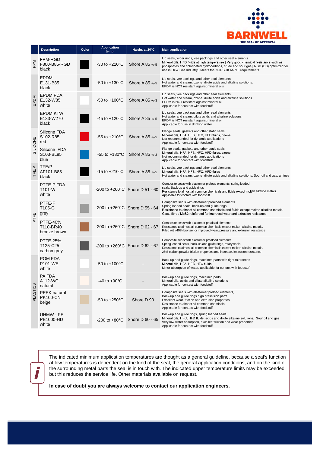

|              | <b>Description</b>                              | Color | <b>Application</b><br>temp. | Hardn. at 20°C                             | <b>Main application</b>                                                                                                                                                                                                                                                                                         |
|--------------|-------------------------------------------------|-------|-----------------------------|--------------------------------------------|-----------------------------------------------------------------------------------------------------------------------------------------------------------------------------------------------------------------------------------------------------------------------------------------------------------------|
| FPM          | FPM-RGD<br>F800-B85-RGD<br>black                |       | $-30$ to $+210^{\circ}$ C   | Shore A 85 +/-5                            | Lip seals, wiper rings, vee packings and other seal elements<br>Mineral oils, HFD fluids at high temperature   Very good chemical resistance such as<br>phosphates and chlorinated hydrocarbons, crude and sour gas   RGD (ED) optimized for<br>use in Oil & Gas Industry   Meets the NORSOK M-710 requirements |
| EPDM         | <b>EPDM</b><br>E131-B85<br>black                |       | $-50$ to $+130^{\circ}$ C   | Shore A 85 +/-5                            | Lip seals, vee packings and other seal elements<br>Hot water and steam, ozone, dilute acids and alkaline solutions.<br>EPDM is NOT resistant against mineral oils                                                                                                                                               |
|              | <b>EPDM FDA</b><br>E132-W85<br>white            |       | $-50$ to $+100^{\circ}$ C   | Shore A $85 + 3$                           | Lip seals, vee packings and other seal elements<br>Hot water and steam, ozone, dilute acids and alkaline solutions.<br>EPDM is NOT resistant against mineral oil<br>Applicable for contact with foodstuff                                                                                                       |
|              | EPDM KTW<br>E133-W270<br>black                  |       | $-45$ to $+120^{\circ}$ C   | Shore A $85 + 5$                           | Lip seals, vee packings and other seal elements<br>Hot water and steam, dilute acids and alkaline solutions.<br>EPDM is NOT resistant against mineral oil<br>Applicable for use in drinking water                                                                                                               |
| SILICONE     | Silicone FDA<br>S <sub>102-R85</sub><br>red     |       | $-55$ to $+210^{\circ}$ C   | Shore A 85 +/-5                            | Flange seals, gaskets and other static seals<br>Mineral oils, HFA, HFB, HFC, HFD fluids, ozone<br>Not recommended for dynamic applications<br>Applicable for contact with foodstuff                                                                                                                             |
|              | Silicone FDA<br>S103-BL85<br>blue               |       | $-55$ to $+180^{\circ}$ C   | Shore A $85 + 3$                           | Flange seals, gaskets and other static seals<br>Mineral oils, HFA, HFB, HFC, HFD fluids, ozone<br>Not recommended for dynamic applications<br>Applicable for contact with foodstuff                                                                                                                             |
| <b>TFE/P</b> | TFE/P<br>AF101-B85<br>black                     |       | $-15$ to $+210^{\circ}$ C   | Shore A $85 + 5$                           | Lip seals, vee packings and other seal elements<br>Mineral oils, HFA, HFB, HFC, HFD fluids<br>Hot water and steam, ozone, dilute acids and alkaline solutions, Sour oil and gas, amines                                                                                                                         |
| PTFE         | PTFE-P FDA<br>T101-W<br>white                   |       |                             | $-200$ to $+260^{\circ}$ C Shore D 51 - 60 | Composite seals with elastomer preload elements, spring loaded<br>seals, Back-up and guide rings<br>Resistance to almost all common chemicals and fluids except molten alkaline metals.<br>Applicable for contact with foodstuff                                                                                |
|              | PTFE-F<br>T105-G<br>grey                        |       |                             | -200 to +260°C Shore D 55 - 64             | Composite seals with elastomer preaload elements<br>Spring loaded seals, back-up and guide rings<br>Resistance to almost all common chemicals and fluids except molten alkaline metals.<br>Glass fibre / MoS2 reinforced for improved wear and extrusion resistance                                             |
|              | <b>PTFE-40%</b><br>T110-BR40<br>bronze brown    |       |                             | $-200$ to $+260^{\circ}$ C Shore D 62 - 67 | Composite seals with elastomer preaload elements<br>Resistance to almost all common chemicals except molten alkaline metals.<br>Filled with 40% bronze for improved wear, pressure and extrusion resistance                                                                                                     |
|              | <b>PTFE-25%</b><br>T125-C25<br>carbon grey      |       |                             | -200 to +260°C Shore D 62 - 67             | Composite seals with elastomer preaload elements<br>Spring loaded seals, back-up and guide rings, rotary seals<br>Resistance to almost all common chemicals except molten alkaline metals.<br>25% carbon powder friction properties and increased extrusion resistance                                          |
|              | POM FDA<br>P101-WE<br>white                     |       | $-50$ to $+100^{\circ}$ C   |                                            | Back-up and guide rings, machined parts with tight tolerances<br>Mineral oils, HFA, HFB, HFC fluids<br>Minor absorption of water, applicable for contact with foodstuff                                                                                                                                         |
| ŵ<br>PLASTIC | <b>PA FDA</b><br>A112-WC<br>natural             |       | $-40$ to $+90^{\circ}$ C    |                                            | Back-up and guide rings, machined parts<br>Mineral oils, acids and dilute alkaline solutions<br>Applicable for contact with foodstuff                                                                                                                                                                           |
|              | <b>PEEK</b> natural<br><b>PK100-CN</b><br>beige |       | -50 to +250°C               | Shore D 90                                 | Composite seals with elastomer preload elements,<br>Back-up and guide rings high prescision parts<br>Excellent wear, friction and extrusion properties<br>Resistance to almost all common chemicals<br>Applicable for contact with foodstuff                                                                    |
|              | UHMW - PE<br>PE1000-HD<br>white                 |       | $-200$ to $+80^{\circ}$ C   | Shore D 60 - 65                            | Back-up and guide rings, spring loaded seals<br>Mineral oils, HFC, HFD fluids, acids and dilute alkaline solutions, Sour oil and gas<br>Very low water absorption, excellent friction and wear properties<br>Applicable for contact with foodstuff                                                              |

I

The indicated minimum application temperatures are thought as a general guideline, because a seal's function at low temperatures is dependent on the kind of the seal, the general application conditions, and on the kind of the surrounding metal parts the seal is in touch with. The indicated upper temperature limits may be exceeded, but this reduces the service life. Other materials available on request.

**In case of doubt you are always welcome to contact our application engineers.**